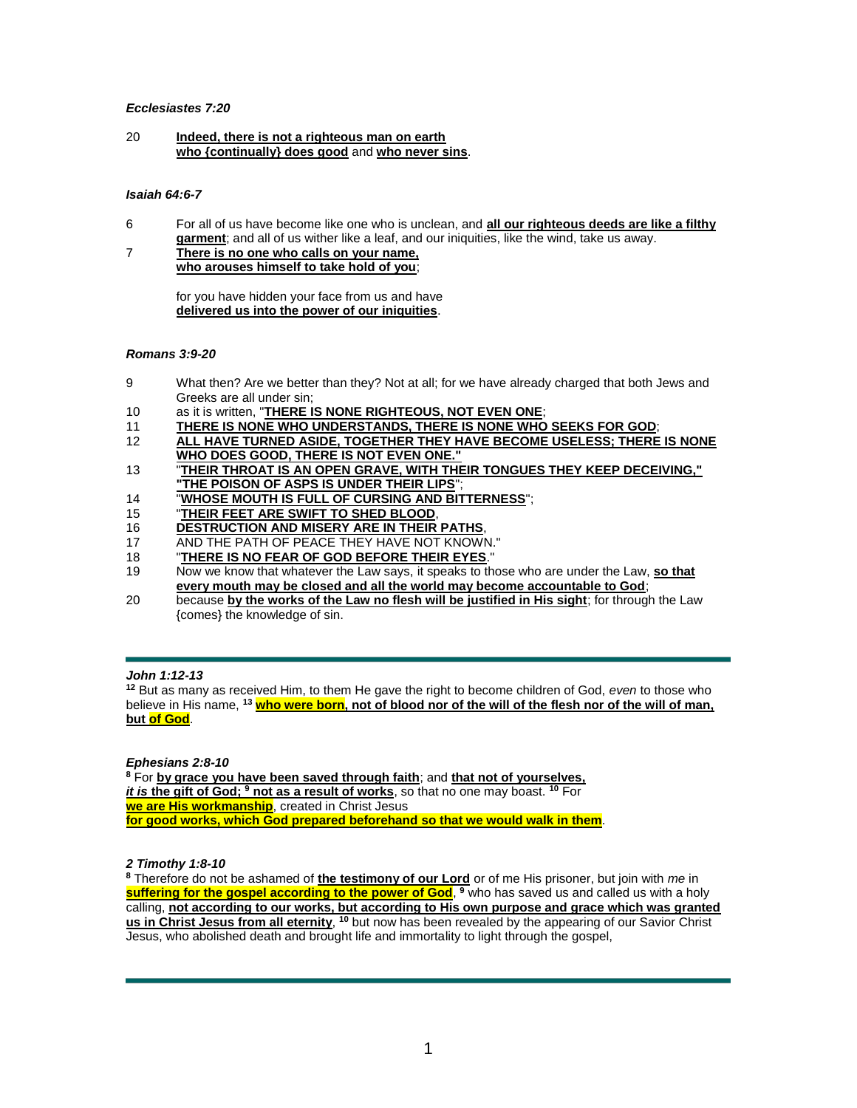## *Ecclesiastes 7:20*

20 **Indeed, there is not a righteous man on earth who {continually} does good** and **who never sins**.

## *Isaiah 64:6-7*

- 6 For all of us have become like one who is unclean, and **all our righteous deeds are like a filthy garment**; and all of us wither like a leaf, and our iniquities, like the wind, take us away.
- 7 **There is no one who calls on your name, who arouses himself to take hold of you**;

for you have hidden your face from us and have **delivered us into the power of our iniquities**.

## *Romans 3:9-20*

- 9 What then? Are we better than they? Not at all; for we have already charged that both Jews and Greeks are all under sin;
- 10 as it is written, "**THERE IS NONE RIGHTEOUS, NOT EVEN ONE**;
- 11 **THERE IS NONE WHO UNDERSTANDS, THERE IS NONE WHO SEEKS FOR GOD**;
- 12 **ALL HAVE TURNED ASIDE, TOGETHER THEY HAVE BECOME USELESS; THERE IS NONE WHO DOES GOOD, THERE IS NOT EVEN ONE."**
- 13 "**THEIR THROAT IS AN OPEN GRAVE, WITH THEIR TONGUES THEY KEEP DECEIVING," "THE POISON OF ASPS IS UNDER THEIR LIPS**";
- 14 "**WHOSE MOUTH IS FULL OF CURSING AND BITTERNESS**";
- 15 "**THEIR FEET ARE SWIFT TO SHED BLOOD**,
- 16 **DESTRUCTION AND MISERY ARE IN THEIR PATHS**,
- 17 AND THE PATH OF PEACE THEY HAVE NOT KNOWN."
- 18 "**THERE IS NO FEAR OF GOD BEFORE THEIR EYES**."
- 19 Now we know that whatever the Law says, it speaks to those who are under the Law, **so that every mouth may be closed and all the world may become accountable to God**;
- 20 because **by the works of the Law no flesh will be justified in His sight**; for through the Law {comes} the knowledge of sin.

# *John 1:12-13*

**<sup>12</sup>** But as many as received Him, to them He gave the right to become children of God, *even* to those who believe in His name, **<sup>13</sup> who were born, not of blood nor of the will of the flesh nor of the will of man, but of God**.

*Ephesians 2:8-10*

**<sup>8</sup>** For **by grace you have been saved through faith**; and **that not of yourselves,**  *it is* **the gift of God; <sup>9</sup> not as a result of works**, so that no one may boast. **<sup>10</sup>** For **we are His workmanship**, created in Christ Jesus **for good works, which God prepared beforehand so that we would walk in them**.

## *2 Timothy 1:8-10*

**<sup>8</sup>** Therefore do not be ashamed of **the testimony of our Lord** or of me His prisoner, but join with *me* in **suffering for the gospel according to the power of God**, **<sup>9</sup>** who has saved us and called us with a holy calling, **not according to our works, but according to His own purpose and grace which was granted**  us in Christ Jesus from all eternity, <sup>10</sup> but now has been revealed by the appearing of our Savior Christ Jesus, who abolished death and brought life and immortality to light through the gospel,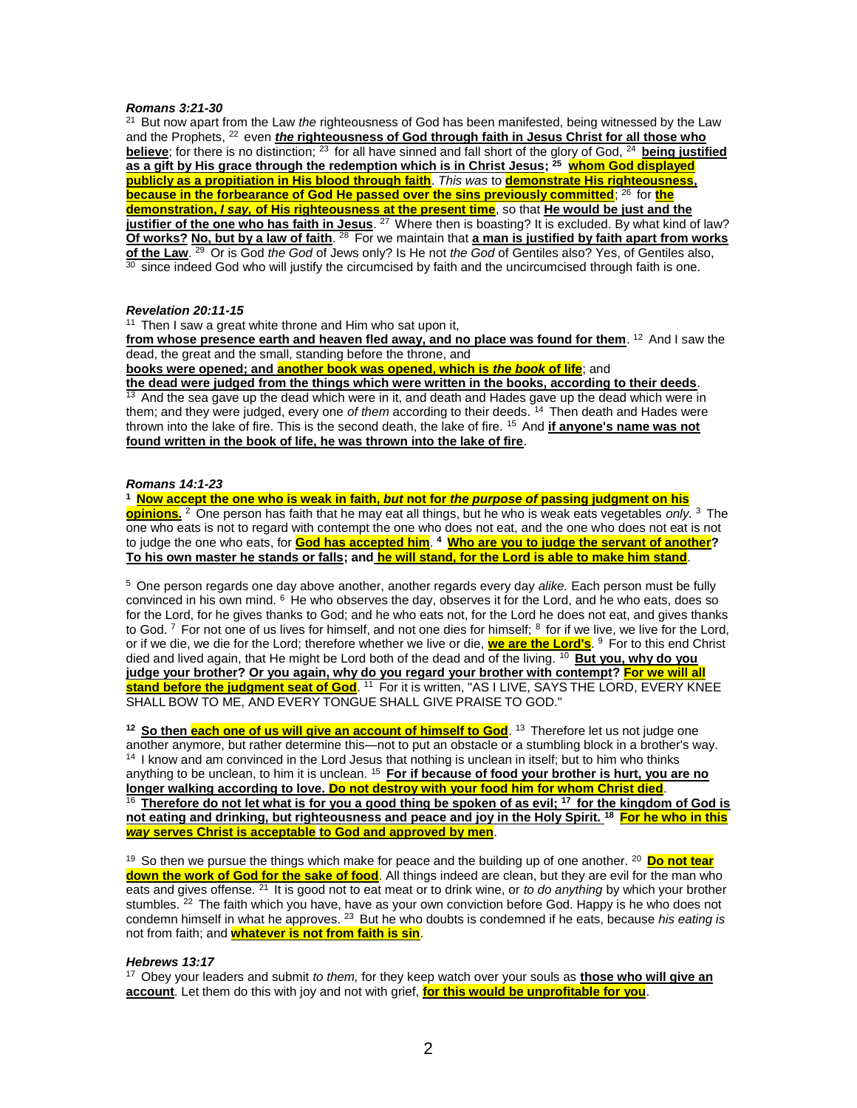### *Romans 3:21-30*

<sup>21</sup> But now apart from the Law *the* righteousness of God has been manifested, being witnessed by the Law and the Prophets, <sup>22</sup> even *the* **righteousness of God through faith in Jesus Christ for all those who believe**; for there is no distinction; <sup>23</sup> for all have sinned and fall short of the glory of God, <sup>24</sup> being justified **as a gift by His grace through the redemption which is in Christ Jesus; <sup>25</sup> whom God displayed publicly as a propitiation in His blood through faith**. *This was* to **demonstrate His righteousness, because in the forbearance of God He passed over the sins previously committed**; <sup>26</sup> for **the demonstration,** *I say,* **of His righteousness at the present time**, so that **He would be just and the justifier of the one who has faith in Jesus**. <sup>27</sup> Where then is boasting? It is excluded. By what kind of law? **Of works? No, but by a law of faith**. <sup>28</sup> For we maintain that **a man is justified by faith apart from works** of the Law. <sup>29</sup> Or is God *the God* of Jews only? Is He not *the God* of Gentiles also? Yes, of Gentiles also,  $\frac{30}{30}$  since indeed God who will justify the circumcised by faith and the uncircumcised through faith is one.

### *Revelation 20:11-15*

 $11$  Then I saw a great white throne and Him who sat upon it,

**from whose presence earth and heaven fled away, and no place was found for them. <sup>12</sup> And I saw the** dead, the great and the small, standing before the throne, and

**books were opened; and another book was opened, which is** *the book* **of life**; and

**the dead were judged from the things which were written in the books, according to their deeds**.  $\frac{13}{13}$  And the sea gave up the dead which were in it, and death and Hades gave up the dead which were in them; and they were judged, every one *of them* according to their deeds. <sup>14</sup> Then death and Hades were thrown into the lake of fire. This is the second death, the lake of fire. <sup>15</sup> And **if anyone's name was not found written in the book of life, he was thrown into the lake of fire**.

# *Romans 14:1-23*

**<sup>1</sup>Now accept the one who is weak in faith,** *but* **not for** *the purpose of* **passing judgment on his opinions.** <sup>2</sup>One person has faith that he may eat all things, but he who is weak eats vegetables *only.* <sup>3</sup>The one who eats is not to regard with contempt the one who does not eat, and the one who does not eat is not to judge the one who eats, for **God has accepted him**. **<sup>4</sup>Who are you to judge the servant of another? To his own master he stands or falls; and he will stand, for the Lord is able to make him stand**.

<sup>5</sup>One person regards one day above another, another regards every day *alike.* Each person must be fully convinced in his own mind.  $6$  He who observes the day, observes it for the Lord, and he who eats, does so for the Lord, for he gives thanks to God; and he who eats not, for the Lord he does not eat, and gives thanks to God. 7 For not one of us lives for himself, and not one dies for himself; 8 for if we live, we live for the Lord, or if we die, we die for the Lord; therefore whether we live or die, <mark>we are the Lord's</mark>. <sup>9</sup> For to this end Christ died and lived again, that He might be Lord both of the dead and of the living. <sup>10</sup> But you, why do you **judge your brother? Or you again, why do you regard your brother with contempt? For we will all stand before the judgment seat of God**. <sup>11</sup> For it is written, "AS I LIVE, SAYS THE LORD, EVERY KNEE SHALL BOW TO ME, AND EVERY TONGUE SHALL GIVE PRAISE TO GOD."

<sup>12</sup> So then each one of us will give an account of himself to God. <sup>13</sup> Therefore let us not judge one another anymore, but rather determine this—not to put an obstacle or a stumbling block in a brother's way.  $14$  I know and am convinced in the Lord Jesus that nothing is unclean in itself; but to him who thinks anything to be unclean, to him it is unclean. <sup>15</sup>**For if because of food your brother is hurt, you are no longer walking according to love. Do not destroy with your food him for whom Christ died**. <sup>16</sup>**Therefore do not let what is for you a good thing be spoken of as evil; <sup>17</sup>for the kingdom of God is not eating and drinking, but righteousness and peace and joy in the Holy Spirit. <sup>18</sup>For he who in this**  *way* **serves Christ is acceptable to God and approved by men**.

<sup>19</sup> So then we pursue the things which make for peace and the building up of one another. <sup>20</sup> Do not tear **down the work of God for the sake of food**. All things indeed are clean, but they are evil for the man who eats and gives offense. <sup>21</sup> It is good not to eat meat or to drink wine, or *to do anything* by which your brother stumbles. <sup>22</sup> The faith which you have, have as your own conviction before God. Happy is he who does not condemn himself in what he approves. <sup>23</sup> But he who doubts is condemned if he eats, because *his eating is* not from faith; and **whatever is not from faith is sin**.

## *Hebrews 13:17*

<sup>17</sup> Obey your leaders and submit *to them*, for they keep watch over your souls as **those who will give an account**. Let them do this with joy and not with grief, **for this would be unprofitable for you**.